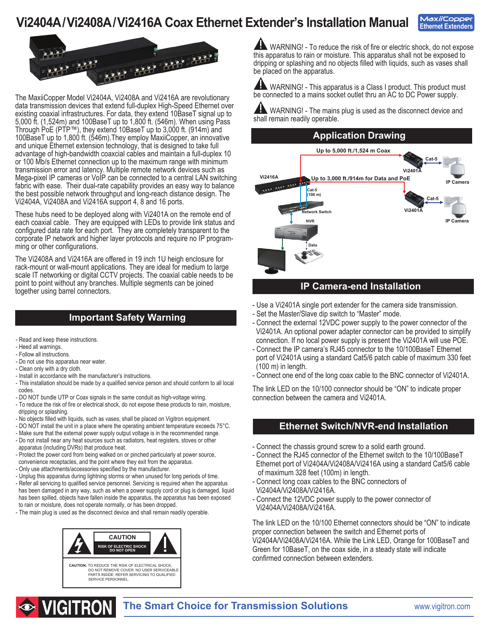## **Vi2404A/Vi2408A/Vi2416A Coax Ethernet Extender's Installation Manual**





The MaxiiCopper Model Vi2404A, Vi2408A and Vi2416A are revolutionary data transmission devices that extend full-duplex High-Speed Ethernet over existing coaxial infrastructures. For data, they extend 10BaseT signal up to 5,000 ft. (1,524m) and 100BaseT up to 1,800 ft. (546m). When using Pass Through PoE (PTP™), they extend 10BaseT up to 3,000 ft. (914m) and 100BaseT up to 1,800 ft. (546m).They employ MaxiiCopper, an innovative and unique Ethernet extension technology, that is designed to take full advantage of high-bandwidth coaxcial cables and maintain a full-duplex 10 or 100 Mb/s Ethernet connection up to the maximum range with minimum transmission error and latency. Multiple remote network devices such as Mega-pixel IP cameras or VoIP can be connected to a central LAN switching fabric with ease. Their dual-rate capability provides an easy way to balance the best possible network throughput and long-reach distance design. The Vi2404A, Vi2408A and Vi2416A support 4, 8 and 16 ports.

These hubs need to be deployed along with Vi2401A on the remote end of each coaxial cable. They are equipped with LEDs to provide link status and configured data rate for each port. They are completely transparent to the corporate IP network and higher layer protocols and require no IP programming or other configurations.

The Vi2408A and Vi2416A are offered in 19 inch 1U heigh enclosure for rack-mount or wall-mount applications. They are ideal for medium to large scale IT networking or digital CCTV projects. The coaxial cable needs to be point to point without any branches. Multiple segments can be joined together using barrel connectors.

### **Important Safety Warning**

- Read and keep these instructions.
- Heed all warnings.
- Follow all instructions.
- Do not use this apparatus near water.

**INGITRON** 

- Clean only with a dry cloth.
- Install in accordance with the manufacturer's instructions.
- This installation should be made by a qualified service person and should conform to all local codes.
- DO NOT bundle UTP or Coax signals in the same conduit as high-voltage wiring.
- To reduce the risk of fire or electrical shock, do not expose these products to rain, moisture, dripping or splashing.
- No objects filled with liquids, such as vases, shall be placed on Vigitron equipment.
- DO NOT install the unit in a place where the operating ambient temperature exceeds 75°C.
- Make sure that the external power supply output voltage is in the recommended range. - Do not install near any heat sources such as radiators, heat registers, stoves or other
- apparatus (including DVRs) that produce heat.
- Protect the power cord from being walked on or pinched particularly at power source, convenience receptacles, and the point where they exit from the apparatus.
- Only use attachments/accessories specified by the manufacturer.
- Unplug this apparatus during lightning storms or when unused for long periods of time.
- Refer all servicing to qualified service personnel. Servicing is required when the apparatus has been damaged in any way, such as when a power supply cord or plug is damaged, liquid has been spilled, objects have fallen inside the apparatus, the apparatus has been exposed to rain or moisture, does not operate normally, or has been dropped.
- The main plug is used as the disconnect device and shall remain readily operable.



A WARNING! - To reduce the risk of fire or electric shock, do not expose this apparatus to rain or moisture. This apparatus shall not be exposed to dripping or splashing and no objects filled with liquids, such as vases shall be placed on the apparatus.

AN WARNING! - This apparatus is a Class I product. This product must be connected to a mains socket outlet thru an AC to DC Power supply.

WARNING! - The mains plug is used as the disconnect device and shall remain readily operable.

#### **Application Drawing**



#### **IP Camera-end Installation**

- Use a Vi2401A single port extender for the camera side transmission.
- Set the Master/Slave dip switch to "Master" mode.
- Connect the external 12VDC power supply to the power connector of the Vi2401A. An optional power adapter connector can be provided to simplify connection. If no local power supply is present the Vi2401A will use POE.
- Connect the IP camera's RJ45 connector to the 10/100BaseT Ethernet port of Vi2401A using a standard Cat5/6 patch cable of maximum 330 feet  $(100 \text{ m})$  in length.
- Connect one end of the long coax cable to the BNC connector of Vi2401A.

The link LED on the 10/100 connector should be "ON" to indicate proper connection between the camera and Vi2401A.

#### **Ethernet Switch/NVR-end Installation**

- Connect the chassis ground screw to a solid earth ground.
- Connect the RJ45 connector of the Ethernet switch to the 10/100BaseT Ethernet port of Vi2404A/Vi2408A/Vi2416A using a standard Cat5/6 cable of maximum 328 feet (100m) in length.
- Connect long coax cables to the BNC connectors of Vi2404A/Vi2408A/Vi2416A.
- Connect the 12VDC power supply to the power connector of Vi2404A/Vi2408A/Vi2416A.

The link LED on the 10/100 Ethernet connectors should be "ON" to indicate proper connection between the switch and Ethernet ports of Vi2404A/Vi2408A/Vi2416A. While the Link LED, Orange for 100BaseT and Green for 10BaseT, on the coax side, in a steady state will indicate confirmed connection between extenders.